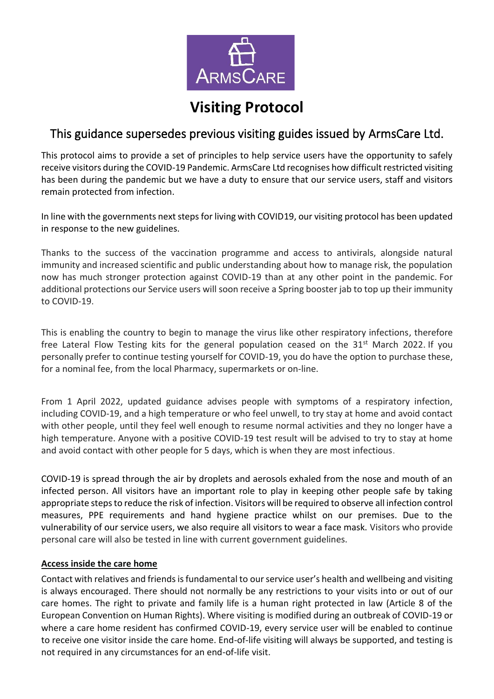

# **Visiting Protocol**

# This guidance supersedes previous visiting guides issued by ArmsCare Ltd.

This protocol aims to provide a set of principles to help service users have the opportunity to safely receive visitors during the COVID-19 Pandemic. ArmsCare Ltd recognises how difficult restricted visiting has been during the pandemic but we have a duty to ensure that our service users, staff and visitors remain protected from infection.

In line with the governments next steps for living with COVID19, our visiting protocol has been updated in response to the new guidelines.

Thanks to the success of the vaccination programme and access to antivirals, alongside natural immunity and increased scientific and public understanding about how to manage risk, the population now has much stronger protection against COVID-19 than at any other point in the pandemic. For additional protections our Service users will soon receive a Spring booster jab to top up their immunity to COVID-19.

This is enabling the country to begin to manage the virus like other respiratory infections, therefore free Lateral Flow Testing kits for the general population ceased on the  $31<sup>st</sup>$  March 2022. If you personally prefer to continue testing yourself for COVID-19, you do have the option to purchase these, for a nominal fee, from the local Pharmacy, supermarkets or on-line.

From 1 April 2022, updated guidance advises people with symptoms of a respiratory infection, including COVID-19, and a high temperature or who feel unwell, to try stay at home and avoid contact with other people, until they feel well enough to resume normal activities and they no longer have a high temperature. Anyone with a positive COVID-19 test result will be advised to try to stay at home and avoid contact with other people for 5 days, which is when they are most infectious.

COVID-19 is spread through the air by droplets and aerosols exhaled from the nose and mouth of an infected person. All visitors have an important role to play in keeping other people safe by taking appropriate steps to reduce the risk of infection. Visitors will be required to observe all infection control measures, PPE requirements and hand hygiene practice whilst on our premises. Due to the vulnerability of our service users, we also require all visitors to wear a face mask. Visitors who provide personal care will also be tested in line with current government guidelines.

# **Access inside the care home**

Contact with relatives and friends is fundamental to our service user's health and wellbeing and visiting is always encouraged. There should not normally be any restrictions to your visits into or out of our care homes. The right to private and family life is a human right protected in law (Article 8 of the European Convention on Human Rights). Where visiting is modified during an outbreak of COVID-19 or where a care home resident has confirmed COVID-19, every service user will be enabled to continue to receive one visitor inside the care home. End-of-life visiting will always be supported, and testing is not required in any circumstances for an end-of-life visit.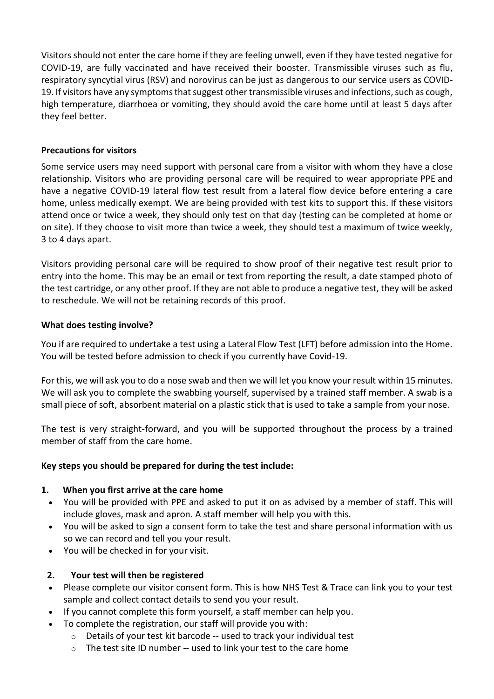Visitors should not enter the care home if they are feeling unwell, even if they have tested negative for COVID-19, are fully vaccinated and have received their booster. Transmissible viruses such as flu, respiratory syncytial virus (RSV) and norovirus can be just as dangerous to our service users as COVID-19. If visitors have any symptoms that suggest other transmissible viruses and infections, such as cough, high temperature, diarrhoea or vomiting, they should avoid the care home until at least 5 days after they feel better.

# **Precautions for visitors**

Some service users may need support with personal care from a visitor with whom they have a close relationship. Visitors who are providing personal care will be required to wear appropriate PPE and have a negative COVID-19 lateral flow test result from a lateral flow device before entering a care home, unless medically exempt. We are being provided with test kits to support this. If these visitors attend once or twice a week, they should only test on that day (testing can be completed at home or on site). If they choose to visit more than twice a week, they should test a maximum of twice weekly, 3 to 4 days apart.

Visitors providing personal care will be required to show proof of their negative test result prior to entry into the home. This may be an email or text from reporting the result, a date stamped photo of the test cartridge, or any other proof. If they are not able to produce a negative test, they will be asked to reschedule. We will not be retaining records of this proof.

#### **What does testing involve?**

You if are required to undertake a test using a Lateral Flow Test (LFT) before admission into the Home. You will be tested before admission to check if you currently have Covid-19.

For this, we will ask you to do a nose swab and then we will let you know your result within 15 minutes. We will ask you to complete the swabbing yourself, supervised by a trained staff member. A swab is a small piece of soft, absorbent material on a plastic stick that is used to take a sample from your nose.

The test is very straight-forward, and you will be supported throughout the process by a trained member of staff from the care home.

#### **Key steps you should be prepared for during the test include:**

#### **1. When you first arrive at the care home**

- You will be provided with PPE and asked to put it on as advised by a member of staff. This will include gloves, mask and apron. A staff member will help you with this.
- You will be asked to sign a consent form to take the test and share personal information with us so we can record and tell you your result.
- You will be checked in for your visit.

#### **2. Your test will then be registered**

- Please complete our visitor consent form. This is how NHS Test & Trace can link you to your test sample and collect contact details to send you your result.
- If you cannot complete this form yourself, a staff member can help you.
- To complete the registration, our staff will provide you with:
	- o Details of your test kit barcode -- used to track your individual test
	- $\circ$  The test site ID number -- used to link your test to the care home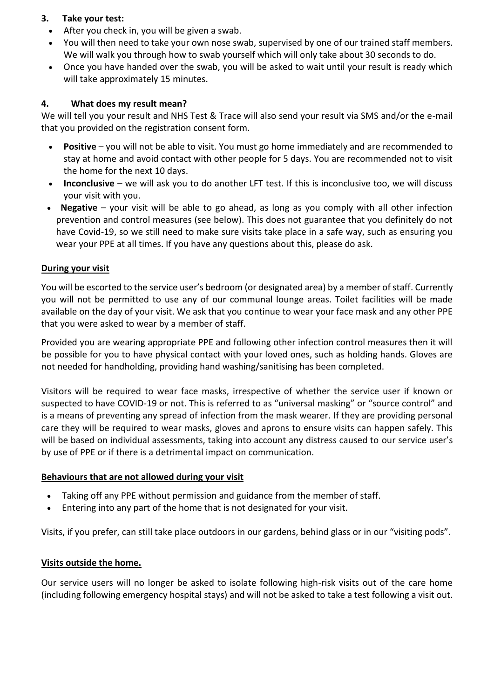# **3. Take your test:**

- After you check in, you will be given a swab.
- You will then need to take your own nose swab, supervised by one of our trained staff members. We will walk you through how to swab yourself which will only take about 30 seconds to do.
- Once you have handed over the swab, you will be asked to wait until your result is ready which will take approximately 15 minutes.

# **4. What does my result mean?**

We will tell you your result and NHS Test & Trace will also send your result via SMS and/or the e-mail that you provided on the registration consent form.

- **Positive** you will not be able to visit. You must go home immediately and are recommended to stay at home and avoid contact with other people for 5 days. You are recommended not to visit the home for the next 10 days.
- **Inconclusive** we will ask you to do another LFT test. If this is inconclusive too, we will discuss your visit with you.
- • **Negative** your visit will be able to go ahead, as long as you comply with all other infection prevention and control measures (see below). This does not guarantee that you definitely do not have Covid-19, so we still need to make sure visits take place in a safe way, such as ensuring you wear your PPE at all times. If you have any questions about this, please do ask.

# **During your visit**

You will be escorted to the service user's bedroom (or designated area) by a member of staff. Currently you will not be permitted to use any of our communal lounge areas. Toilet facilities will be made available on the day of your visit. We ask that you continue to wear your face mask and any other PPE that you were asked to wear by a member of staff.

Provided you are wearing appropriate PPE and following other infection control measures then it will be possible for you to have physical contact with your loved ones, such as holding hands. Gloves are not needed for handholding, providing hand washing/sanitising has been completed.

Visitors will be required to wear face masks, irrespective of whether the service user if known or suspected to have COVID-19 or not. This is referred to as "universal masking" or "source control" and is a means of preventing any spread of infection from the mask wearer. If they are providing personal care they will be required to wear masks, gloves and aprons to ensure visits can happen safely. This will be based on individual assessments, taking into account any distress caused to our service user's by use of PPE or if there is a detrimental impact on communication.

# **Behaviours that are not allowed during your visit**

- Taking off any PPE without permission and guidance from the member of staff.
- Entering into any part of the home that is not designated for your visit.

Visits, if you prefer, can still take place outdoors in our gardens, behind glass or in our "visiting pods".

# **Visits outside the home.**

Our service users will no longer be asked to isolate following high-risk visits out of the care home (including following emergency hospital stays) and will not be asked to take a test following a visit out.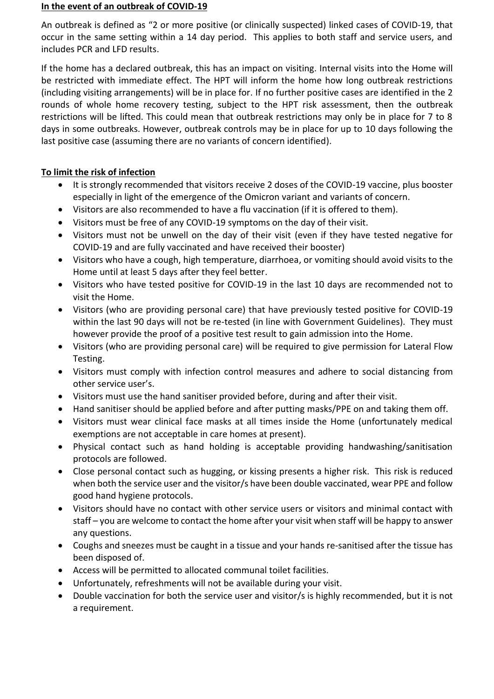#### **In the event of an outbreak of COVID-19**

An outbreak is defined as "2 or more positive (or clinically suspected) linked cases of COVID-19, that occur in the same setting within a 14 day period. This applies to both staff and service users, and includes PCR and LFD results.

If the home has a declared outbreak, this has an impact on visiting. Internal visits into the Home will be restricted with immediate effect. The HPT will inform the home how long outbreak restrictions (including visiting arrangements) will be in place for. If no further positive cases are identified in the 2 rounds of whole home recovery testing, subject to the HPT risk assessment, then the outbreak restrictions will be lifted. This could mean that outbreak restrictions may only be in place for 7 to 8 days in some outbreaks. However, outbreak controls may be in place for up to 10 days following the last positive case (assuming there are no variants of concern identified).

# **To limit the risk of infection**

- It is strongly recommended that visitors receive 2 doses of the COVID-19 vaccine, plus booster especially in light of the emergence of the Omicron variant and variants of concern.
- Visitors are also recommended to have a flu vaccination (if it is offered to them).
- Visitors must be free of any COVID-19 symptoms on the day of their visit.
- Visitors must not be unwell on the day of their visit (even if they have tested negative for COVID-19 and are fully vaccinated and have received their booster)
- Visitors who have a cough, high temperature, diarrhoea, or vomiting should avoid visits to the Home until at least 5 days after they feel better.
- Visitors who have tested positive for COVID-19 in the last 10 days are recommended not to visit the Home.
- Visitors (who are providing personal care) that have previously tested positive for COVID-19 within the last 90 days will not be re-tested (in line with Government Guidelines). They must however provide the proof of a positive test result to gain admission into the Home.
- Visitors (who are providing personal care) will be required to give permission for Lateral Flow Testing.
- Visitors must comply with infection control measures and adhere to social distancing from other service user's.
- Visitors must use the hand sanitiser provided before, during and after their visit.
- Hand sanitiser should be applied before and after putting masks/PPE on and taking them off.
- Visitors must wear clinical face masks at all times inside the Home (unfortunately medical exemptions are not acceptable in care homes at present).
- Physical contact such as hand holding is acceptable providing handwashing/sanitisation protocols are followed.
- Close personal contact such as hugging, or kissing presents a higher risk. This risk is reduced when both the service user and the visitor/s have been double vaccinated, wear PPE and follow good hand hygiene protocols.
- Visitors should have no contact with other service users or visitors and minimal contact with staff – you are welcome to contact the home after your visit when staff will be happy to answer any questions.
- Coughs and sneezes must be caught in a tissue and your hands re-sanitised after the tissue has been disposed of.
- Access will be permitted to allocated communal toilet facilities.
- Unfortunately, refreshments will not be available during your visit.
- Double vaccination for both the service user and visitor/s is highly recommended, but it is not a requirement.